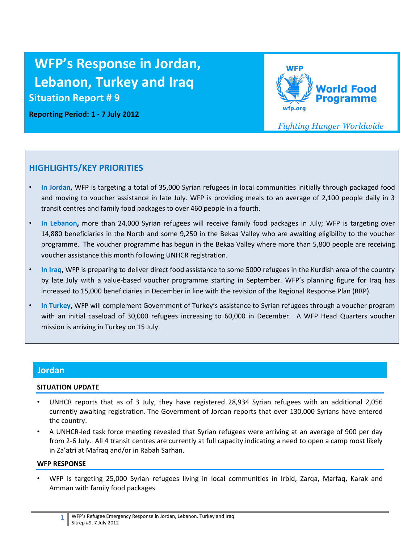# **WFP's Response in Jordan, Lebanon, Turkey and Iraq Situation Report #9**



**Reporting Period: 1 - 7 July 2012** 

*Fighting'Hunger'Worldwide*

# **HIGHLIGHTS/KEY PRIORITIES**

- In Jordan, WFP is targeting a total of 35,000 Syrian refugees in local communities initially through packaged food and moving to voucher assistance in late July. WFP is providing meals to an average of 2,100 people daily in 3 transit centres and family food packages to over 460 people in a fourth.
- In Lebanon, more than 24,000 Syrian refugees will receive family food packages in July; WFP is targeting over 14,880 beneficiaries in the North and some 9,250 in the Bekaa Valley who are awaiting eligibility to the voucher programme. The voucher programme has begun in the Bekaa Valley where more than 5,800 people are receiving voucher assistance this month following UNHCR registration.
- **In Iraq, WFP** is preparing to deliver direct food assistance to some 5000 refugees in the Kurdish area of the country by late July with a value-based voucher programme starting in September. WFP's planning figure for Iraq has increased to 15,000 beneficiaries in December in line with the revision of the Regional Response Plan (RRP).
- In Turkey, WFP will complement Government of Turkey's assistance to Syrian refugees through a voucher program with an initial caseload of 30,000 refugees increasing to 60,000 in December. A WFP Head Quarters voucher mission is arriving in Turkey on 15 July.

## **Jordan**

## **SITUATION"UPDATE**

- UNHCR reports that as of 3 July, they have registered 28,934 Syrian refugees with an additional 2,056 currently awaiting registration. The Government of Jordan reports that over 130,000 Syrians have entered the country.
- A UNHCR-led task force meeting revealed that Syrian refugees were arriving at an average of 900 per day from 2-6 July. All 4 transit centres are currently at full capacity indicating a need to open a camp most likely in Za'atri at Mafraq and/or in Rabah Sarhan.

## **WFP RESPONSE**

WFP is targeting 25,000 Syrian refugees living in local communities in Irbid, Zarqa, Marfaq, Karak and Amman with family food packages.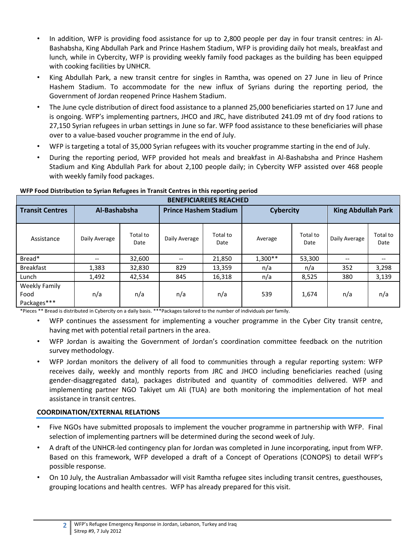- In addition, WFP is providing food assistance for up to 2,800 people per day in four transit centres: in Al-Bashabsha, King Abdullah Park and Prince Hashem Stadium, WFP is providing daily hot meals, breakfast and lunch, while in Cybercity, WFP is providing weekly family food packages as the building has been equipped with cooking facilities by UNHCR.
- King Abdullah Park, a new transit centre for singles in Ramtha, was opened on 27 June in lieu of Prince Hashem Stadium. To accommodate for the new influx of Syrians during the reporting period, the Government of Jordan reopened Prince Hashem Stadium.
- The June cycle distribution of direct food assistance to a planned 25,000 beneficiaries started on 17 June and is ongoing. WFP's implementing partners, JHCO and JRC, have distributed 241.09 mt of dry food rations to 27,150 Syrian refugees in urban settings in June so far. WFP food assistance to these beneficiaries will phase over to a value-based voucher programme in the end of July.
- WFP is targeting a total of 35,000 Syrian refugees with its voucher programme starting in the end of July.
- During the reporting period, WFP provided hot meals and breakfast in Al-Bashabsha and Prince Hashem Stadium and King Abdullah Park for about 2,100 people daily; in Cybercity WFP assisted over 468 people with weekly family food packages.

| <b>BENEFICIAREIES REACHED</b>        |               |                  |                                       |                  |                  |                  |                                       |                          |  |  |
|--------------------------------------|---------------|------------------|---------------------------------------|------------------|------------------|------------------|---------------------------------------|--------------------------|--|--|
| <b>Transit Centres</b>               | Al-Bashabsha  |                  | <b>Prince Hashem Stadium</b>          |                  | <b>Cybercity</b> |                  | <b>King Abdullah Park</b>             |                          |  |  |
| Assistance                           | Daily Average | Total to<br>Date | Daily Average                         | Total to<br>Date | Average          | Total to<br>Date | Daily Average                         | Total to<br>Date         |  |  |
| Bread*                               |               | 32,600           | $\hspace{0.05cm}$ – $\hspace{0.05cm}$ | 21,850           | $1,300**$        | 53,300           | $\hspace{0.05cm}$ – $\hspace{0.05cm}$ | $\overline{\phantom{m}}$ |  |  |
| <b>Breakfast</b>                     | 1,383         | 32,830           | 829                                   | 13,359           | n/a              | n/a              | 352                                   | 3,298                    |  |  |
| Lunch                                | 1,492         | 42,534           | 845                                   | 16,318           | n/a              | 8,525            | 380                                   | 3,139                    |  |  |
| Weekly Family<br>Food<br>Packages*** | n/a           | n/a              | n/a                                   | n/a              | 539              | 1,674            | n/a                                   | n/a                      |  |  |

## WFP Food Distribution to Syrian Refugees in Transit Centres in this reporting period

\*Pieces \*\* Bread is distributed in Cybercity on a daily basis. \*\*\*Packages tailored to the number of individuals per family.

- WFP continues the assessment for implementing a voucher programme in the Cyber City transit centre, having met with potential retail partners in the area.
- WFP Jordan is awaiting the Government of Jordan's coordination committee feedback on the nutrition survey methodology.
- WFP Jordan monitors the delivery of all food to communities through a regular reporting system: WFP receives daily, weekly and monthly reports from JRC and JHCO including beneficiaries reached (using gender-disaggregated data), packages distributed and quantity of commodities delivered. WFP and implementing partner NGO Takiyet um Ali (TUA) are both monitoring the implementation of hot meal assistance in transit centres.

## **COORDINATION/EXTERNAL RELATIONS**

- Five NGOs have submitted proposals to implement the voucher programme in partnership with WFP. Final selection of implementing partners will be determined during the second week of July.
- A draft of the UNHCR-led contingency plan for Jordan was completed in June incorporating, input from WFP. Based on this framework, WFP developed a draft of a Concept of Operations (CONOPS) to detail WFP's possible response.
- On 10 July, the Australian Ambassador will visit Ramtha refugee sites including transit centres, guesthouses, grouping locations and health centres. WFP has already prepared for this visit.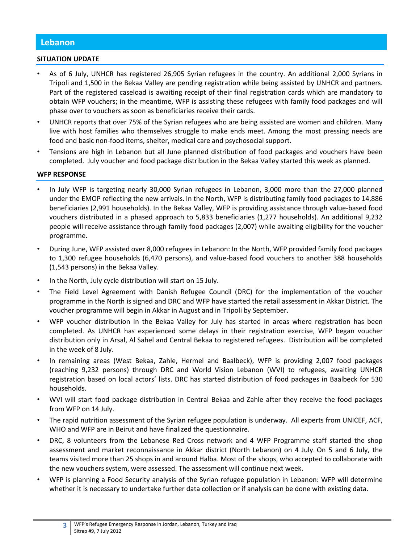## **SITUATION"UPDATE**

- As of 6 July, UNHCR has registered 26,905 Syrian refugees in the country. An additional 2,000 Syrians in Tripoli and 1,500 in the Bekaa Valley are pending registration while being assisted by UNHCR and partners. Part of the registered caseload is awaiting receipt of their final registration cards which are mandatory to obtain WFP vouchers; in the meantime, WFP is assisting these refugees with family food packages and will phase over to vouchers as soon as beneficiaries receive their cards.
- UNHCR reports that over 75% of the Syrian refugees who are being assisted are women and children. Many live with host families who themselves struggle to make ends meet. Among the most pressing needs are food and basic non-food items, shelter, medical care and psychosocial support.
- Tensions are high in Lebanon but all June planned distribution of food packages and vouchers have been completed. July voucher and food package distribution in the Bekaa Valley started this week as planned.

## **WFP RESPONSE**

- In July WFP is targeting nearly 30,000 Syrian refugees in Lebanon, 3,000 more than the 27,000 planned under the EMOP reflecting the new arrivals. In the North, WFP is distributing family food packages to 14,886 beneficiaries (2,991 households). In the Bekaa Valley, WFP is providing assistance through value-based food vouchers distributed in a phased approach to 5,833 beneficiaries (1,277 households). An additional 9,232 people will receive assistance through family food packages (2,007) while awaiting eligibility for the voucher programme.
- During June, WFP assisted over 8,000 refugees in Lebanon: In the North, WFP provided family food packages to 1,300 refugee households (6,470 persons), and value-based food vouchers to another 388 households  $(1,543$  persons) in the Bekaa Valley.
- $\cdot$  In the North, July cycle distribution will start on 15 July.
- The Field Level Agreement with Danish Refugee Council (DRC) for the implementation of the voucher programme in the North is signed and DRC and WFP have started the retail assessment in Akkar District. The voucher programme will begin in Akkar in August and in Tripoli by September.
- WFP voucher distribution in the Bekaa Valley for July has started in areas where registration has been completed. As UNHCR has experienced some delays in their registration exercise, WFP began voucher distribution only in Arsal, Al Sahel and Central Bekaa to registered refugees. Distribution will be completed in the week of 8 July.
- In remaining areas (West Bekaa, Zahle, Hermel and Baalbeck), WFP is providing 2,007 food packages (reaching 9,232 persons) through DRC and World Vision Lebanon (WVI) to refugees, awaiting UNHCR registration based on local actors' lists. DRC has started distribution of food packages in Baalbeck for 530 households.
- WVI will start food package distribution in Central Bekaa and Zahle after they receive the food packages from WFP on 14 July.
- The rapid nutrition assessment of the Syrian refugee population is underway. All experts from UNICEF, ACF, WHO and WFP are in Beirut and have finalized the questionnaire.
- DRC, 8 volunteers from the Lebanese Red Cross network and 4 WFP Programme staff started the shop assessment and market reconnaissance in Akkar district (North Lebanon) on 4 July. On 5 and 6 July, the teams visited more than 25 shops in and around Halba. Most of the shops, who accepted to collaborate with the new vouchers system, were assessed. The assessment will continue next week.
- WFP is planning a Food Security analysis of the Syrian refugee population in Lebanon: WFP will determine whether it is necessary to undertake further data collection or if analysis can be done with existing data.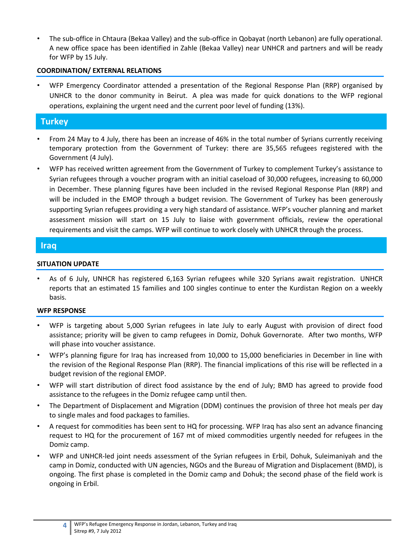The sub-office in Chtaura (Bekaa Valley) and the sub-office in Qobayat (north Lebanon) are fully operational. A new office space has been identified in Zahle (Bekaa Valley) near UNHCR and partners and will be ready for WFP by 15 July.

## **COORDINATION/ EXTERNAL RELATIONS**

WFP Emergency Coordinator attended a presentation of the Regional Response Plan (RRP) organised by UNHCR to the donor community in Beirut. A plea was made for quick donations to the WFP regional operations, explaining the urgent need and the current poor level of funding (13%).

# **Turkey**

- From 24 May to 4 July, there has been an increase of 46% in the total number of Syrians currently receiving temporary protection from the Government of Turkey: there are 35,565 refugees registered with the Government (4 July).
- WFP has received written agreement from the Government of Turkey to complement Turkey's assistance to Syrian refugees through a voucher program with an initial caseload of 30,000 refugees, increasing to 60,000 in December. These planning figures have been included in the revised Regional Response Plan (RRP) and will be included in the EMOP through a budget revision. The Government of Turkey has been generously supporting Syrian refugees providing a very high standard of assistance. WFP's voucher planning and market assessment mission will start on 15 July to liaise with government officials, review the operational requirements and visit the camps. WFP will continue to work closely with UNHCR through the process.

# **Iraq**

## **SITUATION UPDATE**

As of 6 July, UNHCR has registered 6,163 Syrian refugees while 320 Syrians await registration. UNHCR reports that an estimated 15 families and 100 singles continue to enter the Kurdistan Region on a weekly basis.

## **WFP RESPONSE**

- WFP is targeting about 5,000 Syrian refugees in late July to early August with provision of direct food assistance; priority will be given to camp refugees in Domiz, Dohuk Governorate. After two months, WFP will phase into voucher assistance.
- WFP's planning figure for Iraq has increased from 10,000 to 15,000 beneficiaries in December in line with the revision of the Regional Response Plan (RRP). The financial implications of this rise will be reflected in a budget revision of the regional EMOP.
- WFP will start distribution of direct food assistance by the end of July; BMD has agreed to provide food assistance to the refugees in the Domiz refugee camp until then.
- The Department of Displacement and Migration (DDM) continues the provision of three hot meals per day to single males and food packages to families.
- A request for commodities has been sent to HQ for processing. WFP Iraq has also sent an advance financing request to HQ for the procurement of 167 mt of mixed commodities urgently needed for refugees in the Domiz camp.
- WFP and UNHCR-led joint needs assessment of the Syrian refugees in Erbil, Dohuk, Suleimaniyah and the camp in Domiz, conducted with UN agencies, NGOs and the Bureau of Migration and Displacement (BMD), is ongoing. The first phase is completed in the Domiz camp and Dohuk; the second phase of the field work is ongoing in Erbil.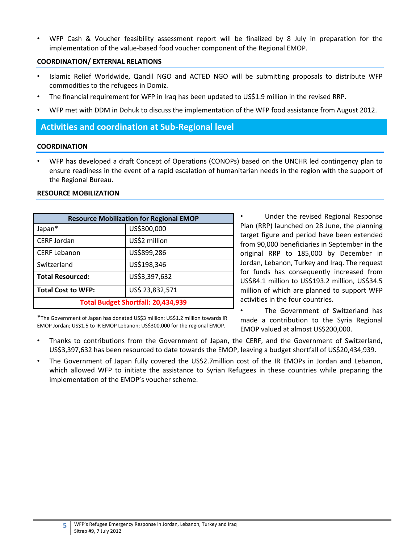WFP Cash & Voucher feasibility assessment report will be finalized by 8 July in preparation for the implementation of the value-based food voucher component of the Regional EMOP.

## **COORDINATION/ EXTERNAL RELATIONS**

- Islamic Relief Worldwide, Qandil NGO and ACTED NGO will be submitting proposals to distribute WFP commodities to the refugees in Domiz.
- The financial requirement for WFP in Iraq has been updated to US\$1.9 million in the revised RRP.
- WFP met with DDM in Dohuk to discuss the implementation of the WFP food assistance from August 2012.

## Activities and coordination at Sub-Regional level

#### **COORDINATION**

WFP has developed a draft Concept of Operations (CONOPs) based on the UNCHR led contingency plan to ensure readiness in the event of a rapid escalation of humanitarian needs in the region with the support of the Regional Bureau.

| <b>Resource Mobilization for Regional EMOP</b> |                 |  |  |  |  |
|------------------------------------------------|-----------------|--|--|--|--|
| Japan*                                         | US\$300,000     |  |  |  |  |
| <b>CERF Jordan</b>                             | US\$2 million   |  |  |  |  |
| <b>CERF Lebanon</b>                            | US\$899,286     |  |  |  |  |
| Switzerland                                    | US\$198,346     |  |  |  |  |
| <b>Total Resourced:</b>                        | US\$3,397,632   |  |  |  |  |
| <b>Total Cost to WFP:</b>                      | US\$ 23,832,571 |  |  |  |  |
| <b>Total Budget Shortfall: 20,434,939</b>      |                 |  |  |  |  |

#### **RESOURCE MOBILIZATION**

Under the revised Regional Response Plan (RRP) launched on 28 June, the planning target figure and period have been extended from 90,000 beneficiaries in September in the original RRP to 185,000 by December in Jordan, Lebanon, Turkey and Iraq. The request for funds has consequently increased from US\$84.1 million to US\$193.2 million, US\$34.5 million of which are planned to support WFP activities in the four countries.

\*The Government of Japan has donated US\$3 million: US\$1.2 million towards IR EMOP Jordan; US\$1.5 to IR EMOP Lebanon; US\$300,000 for the regional EMOP.

The Government of Switzerland has made a contribution to the Syria Regional EMOP valued at almost US\$200,000.

- Thanks to contributions from the Government of Japan, the CERF, and the Government of Switzerland, US\$3,397,632 has been resourced to date towards the EMOP, leaving a budget shortfall of US\$20,434,939.
- The Government of Japan fully covered the US\$2.7million cost of the IR EMOPs in Jordan and Lebanon, which allowed WFP to initiate the assistance to Syrian Refugees in these countries while preparing the implementation of the EMOP's voucher scheme.